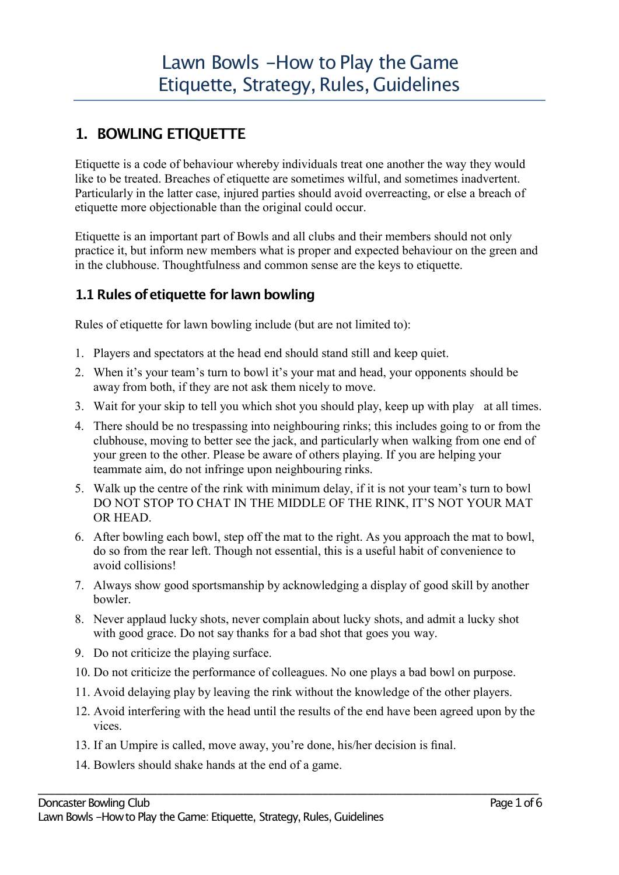# **1. BOWLING ETIQUETTE**

Etiquette is a code of behaviour whereby individuals treat one another the way they would like to be treated. Breaches of etiquette are sometimes wilful, and sometimes inadvertent. Particularly in the latter case, injured parties should avoid overreacting, or else a breach of etiquette more objectionable than the original could occur.

Etiquette is an important part of Bowls and all clubs and their members should not only practice it, but inform new members what is proper and expected behaviour on the green and in the clubhouse. Thoughtfulness and common sense are the keys to etiquette.

#### **1.1Rules ofetiquette for lawn bowling**

Rules of etiquette for lawn bowling include (but are not limited to):

- 1. Players and spectators at the head end should stand still and keep quiet.
- 2. When it's your team's turn to bowl it's your mat and head, your opponents should be away from both, if they are not ask them nicely to move.
- 3. Wait for your skip to tell you which shot you should play, keep up with play at all times.
- 4. There should be no trespassing into neighbouring rinks; this includes going to or from the clubhouse, moving to better see the jack, and particularly when walking from one end of your green to the other. Please be aware of others playing. If you are helping your teammate aim, do not infringe upon neighbouring rinks.
- 5. Walk up the centre of the rink with minimum delay, if it is not your team's turn to bowl DO NOT STOP TO CHAT IN THE MIDDLE OF THE RINK, IT'S NOT YOUR MAT OR HEAD.
- 6. After bowling each bowl, step off the mat to the right. As you approach the mat to bowl, do so from the rear left. Though not essential, this is a useful habit of convenience to avoid collisions!
- 7. Always show good sportsmanship by acknowledging a display of good skill by another bowler.
- 8. Never applaud lucky shots, never complain about lucky shots, and admit a lucky shot with good grace. Do not say thanks for a bad shot that goes you way.
- 9. Do not criticize the playing surface.
- 10. Do not criticize the performance of colleagues. No one plays a bad bowl on purpose.
- 11. Avoid delaying play by leaving the rink without the knowledge of the other players.

- 12. Avoid interfering with the head until the results of the end have been agreed upon by the vices.
- 13. If an Umpire is called, move away, you're done, his/her decision is final.
- 14. Bowlers should shake hands at the end of a game.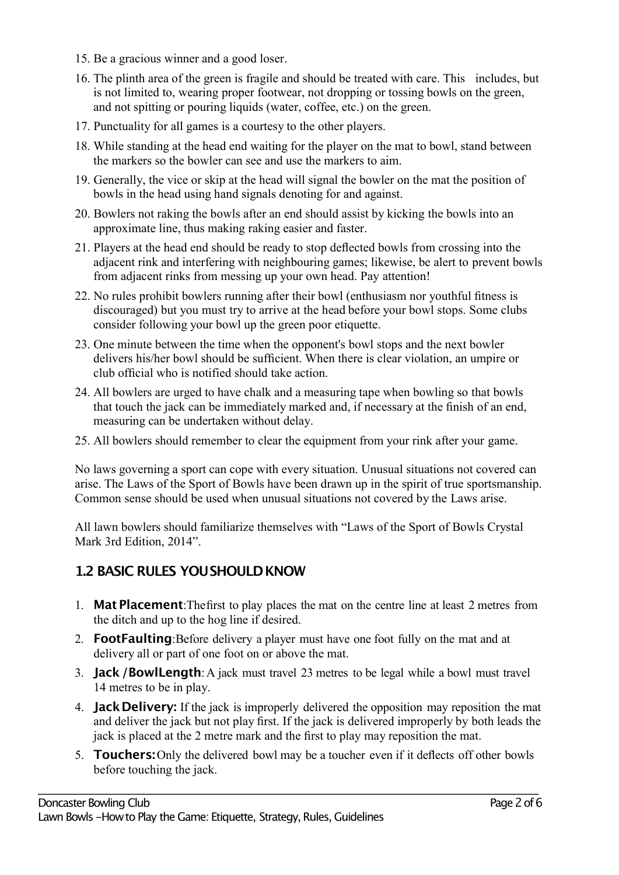- 15. Be a gracious winner and a good loser.
- 16. The plinth area of the green is fragile and should be treated with care. This includes, but is not limited to, wearing proper footwear, not dropping or tossing bowls on the green, and not spitting or pouring liquids (water, coffee, etc.) on the green.
- 17. Punctuality for all games is a courtesy to the other players.
- 18. While standing at the head end waiting for the player on the mat to bowl, stand between the markers so the bowler can see and use the markers to aim.
- 19. Generally, the vice or skip at the head will signal the bowler on the mat the position of bowls in the head using hand signals denoting for and against.
- 20. Bowlers not raking the bowls after an end should assist by kicking the bowls into an approximate line, thus making raking easier and faster.
- 21. Players at the head end should be ready to stop deflected bowls from crossing into the adjacent rink and interfering with neighbouring games; likewise, be alert to prevent bowls from adjacent rinks from messing up your own head. Pay attention!
- 22. No rules prohibit bowlers running after their bowl (enthusiasm nor youthful fitness is discouraged) but you must try to arrive at the head before your bowl stops. Some clubs consider following your bowl up the green poor etiquette.
- 23. One minute between the time when the opponent's bowl stops and the next bowler delivers his/her bowl should be sufficient. When there is clear violation, an umpire or club official who is notified should take action.
- 24. All bowlers are urged to have chalk and a measuring tape when bowling so that bowls that touch the jack can be immediately marked and, if necessary at the finish of an end, measuring can be undertaken without delay.
- 25. All bowlers should remember to clear the equipment from your rink after your game.

No laws governing a sport can cope with every situation. Unusual situations not covered can arise. The Laws of the Sport of Bowls have been drawn up in the spirit of true sportsmanship. Common sense should be used when unusual situations not covered by the Laws arise.

All lawn bowlers should familiarize themselves with "Laws of the Sport of Bowls Crystal Mark 3rd Edition, 2014".

#### **1.2 BASIC RULES YOUSHOULDKNOW**

- 1. **Mat Placement**:Thefirst to play places the mat on the centre line at least 2 metres from the ditch and up to the hog line if desired.
- 2. **FootFaulting**:Before delivery a player must have one foot fully on the mat and at delivery all or part of one foot on or above the mat.
- 3. **Jack/BowlLength**:A jack must travel 23 metres to be legal while a bowl must travel 14 metres to be in play.
- 4. **JackDelivery:** If the jack is improperly delivered the opposition may reposition the mat and deliver the jack but not play first. If the jack is delivered improperly by both leads the jack is placed at the 2 metre mark and the first to play may reposition the mat.
- 5. **Touchers:**Only the delivered bowl may be a toucher even if it deflects off other bowls before touching the jack.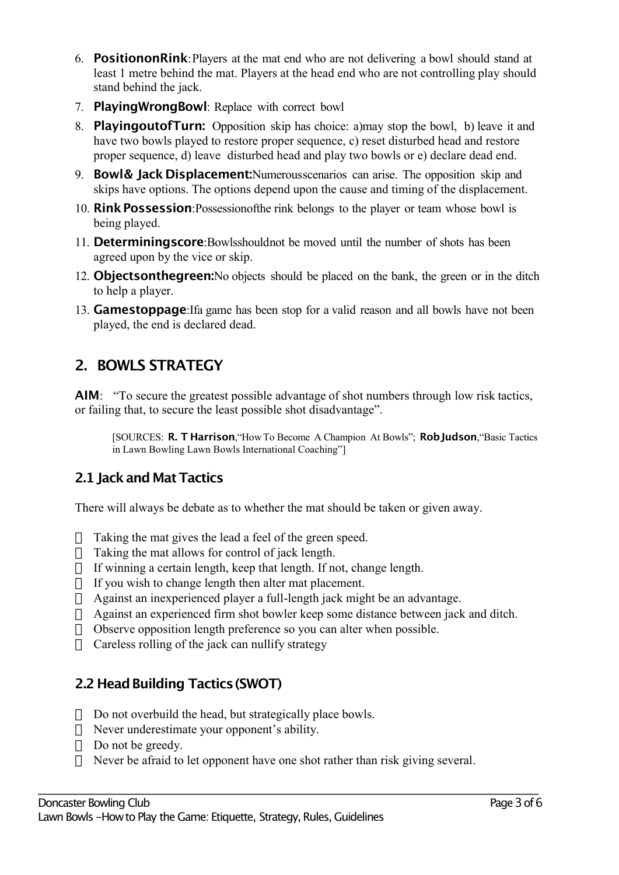- 6. **PositiononRink**:Players at the mat end who are not delivering a bowl should stand at least 1 metre behind the mat. Players at the head end who are not controlling play should stand behind the jack.
- 7. **PlayingWrongBowl**: Replace with correct bowl
- 8. **PlayingoutofTurn:** Opposition skip has choice: a)may stop the bowl, b) leave it and have two bowls played to restore proper sequence, c) reset disturbed head and restore proper sequence, d) leave disturbed head and play two bowls or e) declare dead end.
- 9. **Bowl& Jack Displacement:**Numerousscenarios can arise. The opposition skip and skips have options. The options depend upon the cause and timing of the displacement.
- 10. **RinkPossession**:Possessionofthe rink belongs to the player or team whose bowl is being played.
- 11. **Determiningscore**:Bowlsshouldnot be moved until the number of shots has been agreed upon by the vice or skip.
- 12. **Objectsonthegreen:**No objects should be placed on the bank, the green or in the ditch to help a player.
- 13. **Gamestoppage**:Ifa game has been stop for a valid reason and all bowls have not been played, the end is declared dead.

# **2. BOWLS STRATEGY**

**AIM**: "To secure the greatest possible advantage of shot numbers through low risk tactics, or failing that, to secure the least possible shot disadvantage".

[SOURCES: **R. T Harrison**,"How To Become A Champion At Bowls"; **RobJudson**,"Basic Tactics in Lawn Bowling Lawn Bowls International Coaching"]

## **2.1 Jackand MatTactics**

There will always be debate as to whether the mat should be taken or given away.

- $\Box$  Taking the mat gives the lead a feel of the green speed.
- $\Box$  Taking the mat allows for control of jack length.
- $\Box$  If winning a certain length, keep that length. If not, change length.
- $\Box$  If you wish to change length then alter mat placement.
- $\Box$  Against an inexperienced player a full-length jack might be an advantage.
- $\Box$  Against an experienced firm shot bowler keep some distance between jack and ditch.
- $\Box$  Observe opposition length preference so you can alter when possible.
- $\Box$  Careless rolling of the jack can nullify strategy

## **2.2 Head Building Tactics (SWOT)**

- $\Box$  Do not overbuild the head, but strategically place bowls.
- $\Box$  Never underestimate your opponent's ability.
- $\Box$  Do not be greedy.
- $\Box$  Never be afraid to let opponent have one shot rather than risk giving several.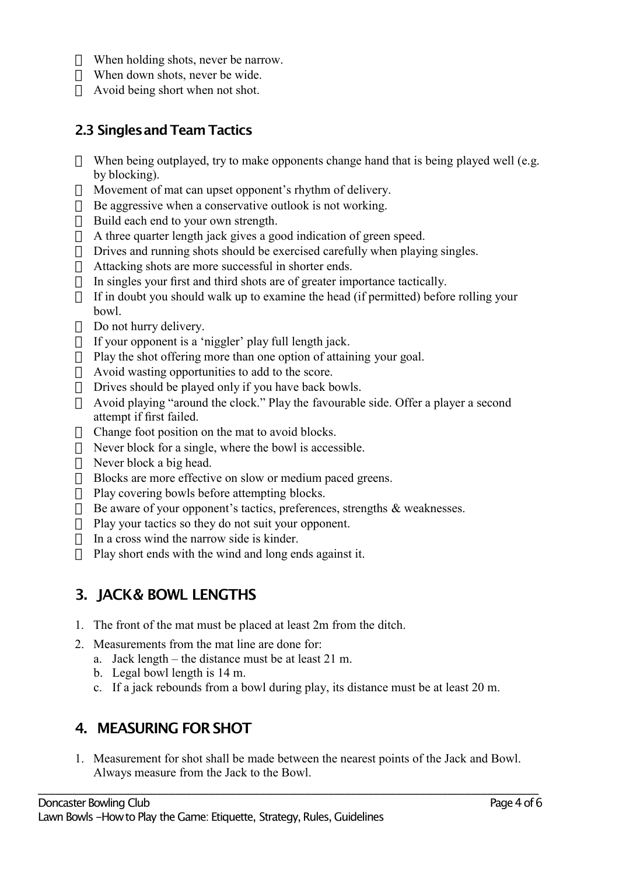- □ When holding shots, never be narrow.
- $\Box$  When down shots, never be wide.
- $\Box$  Avoid being short when not shot.

#### **2.3 SinglesandTeam Tactics**

- $\Box$  When being outplayed, try to make opponents change hand that is being played well (e.g. by blocking).
- $\Box$  Movement of mat can upset opponent's rhythm of delivery.
- $\Box$  Be aggressive when a conservative outlook is not working.
- $\Box$  Build each end to your own strength.
- $\Box$  A three quarter length jack gives a good indication of green speed.
- $\Box$  Drives and running shots should be exercised carefully when playing singles.
- $\Box$  Attacking shots are more successful in shorter ends.
- $\Box$  In singles your first and third shots are of greater importance tactically.
- $\Box$  If in doubt you should walk up to examine the head (if permitted) before rolling your bowl.
- $\Box$  Do not hurry delivery.
- $\Box$  If your opponent is a 'niggler' play full length jack.
- $\Box$  Play the shot offering more than one option of attaining your goal.
- $\Box$  Avoid wasting opportunities to add to the score.
- $\Box$  Drives should be played only if you have back bowls.
- Avoid playing "around the clock." Play the favourable side. Offer a player a second attempt if first failed.
- $\Box$  Change foot position on the mat to avoid blocks.
- $\Box$  Never block for a single, where the bowl is accessible.
- $\Box$  Never block a big head.
- □ Blocks are more effective on slow or medium paced greens.
- $\Box$  Play covering bowls before attempting blocks.
- $\Box$  Be aware of your opponent's tactics, preferences, strengths & weaknesses.
- $\Box$  Play your tactics so they do not suit your opponent.
- $\Box$  In a cross wind the narrow side is kinder.
- $\Box$  Play short ends with the wind and long ends against it.

## **3. JACK& BOWL LENGTHS**

- 1. The front of the mat must be placed at least 2m from the ditch.
- 2. Measurements from the mat line are done for:
	- a. Jack length the distance must be at least 21 m.
	- b. Legal bowl length is 14 m.
	- c. If a jack rebounds from a bowl during play, its distance must be at least 20 m.

## **4. MEASURING FORSHOT**

1. Measurement for shot shall be made between the nearest points of the Jack and Bowl. Always measure from the Jack to the Bowl.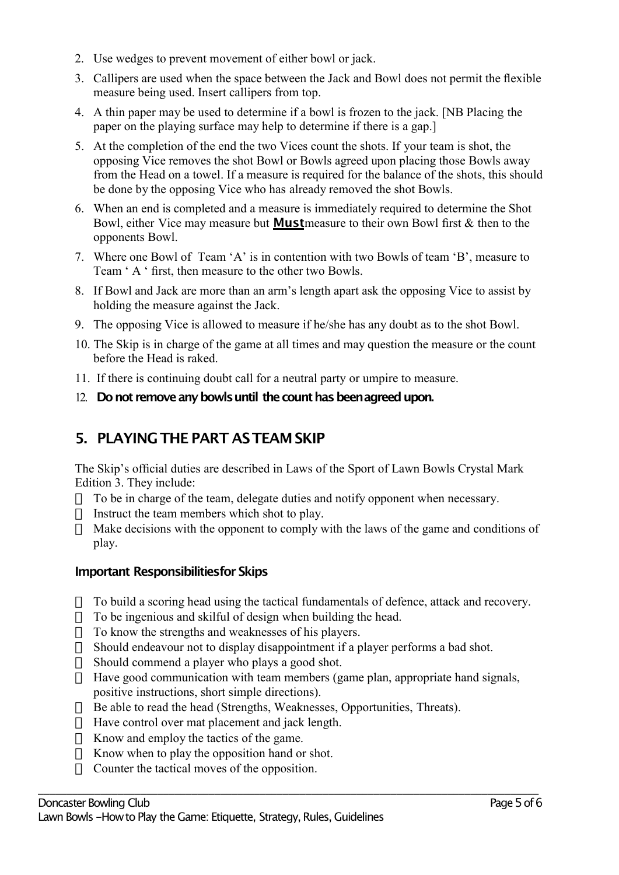- 2. Use wedges to prevent movement of either bowl or jack.
- 3. Callipers are used when the space between the Jack and Bowl does not permit the flexible measure being used. Insert callipers from top.
- 4. A thin paper may be used to determine if a bowl is frozen to the jack. [NB Placing the paper on the playing surface may help to determine if there is a gap.]
- 5. At the completion of the end the two Vices count the shots. If your team is shot, the opposing Vice removes the shot Bowl or Bowls agreed upon placing those Bowls away from the Head on a towel. If a measure is required for the balance of the shots, this should be done by the opposing Vice who has already removed the shot Bowls.
- 6. When an end is completed and a measure is immediately required to determine the Shot Bowl, either Vice may measure but **Must**measure to their own Bowl first & then to the opponents Bowl.
- 7. Where one Bowl of Team 'A' is in contention with two Bowls of team 'B', measure to Team ' A ' first, then measure to the other two Bowls.
- 8. If Bowl and Jack are more than an arm's length apart ask the opposing Vice to assist by holding the measure against the Jack.
- 9. The opposing Vice is allowed to measure if he/she has any doubt as to the shot Bowl.
- 10. The Skip is in charge of the game at all times and may question the measure or the count before the Head is raked.
- 11. If there is continuing doubt call for a neutral party or umpire to measure.
- 12. **Do not remove any bowls until the count has been agreed upon.**

# **5. PLAYINGTHE PART ASTEAMSKIP**

The Skip's official duties are described in Laws of the Sport of Lawn Bowls Crystal Mark Edition 3. They include:

- $\Box$  To be in charge of the team, delegate duties and notify opponent when necessary.
- $\Box$  Instruct the team members which shot to play.
- $\Box$  Make decisions with the opponent to comply with the laws of the game and conditions of play.

#### **Important Responsibilitiesfor Skips**

- $\Box$  To build a scoring head using the tactical fundamentals of defence, attack and recovery.
- $\Box$  To be ingenious and skilful of design when building the head.
- $\Box$  To know the strengths and weaknesses of his players.
- $\Box$  Should endeavour not to display disappointment if a player performs a bad shot.
- $\Box$  Should commend a player who plays a good shot.
- $\Pi$  Have good communication with team members (game plan, appropriate hand signals, positive instructions, short simple directions).

- $\Box$  Be able to read the head (Strengths, Weaknesses, Opportunities, Threats).
- $\Box$  Have control over mat placement and jack length.
- $\Box$  Know and employ the tactics of the game.
- $\Box$  Know when to play the opposition hand or shot.
- $\Box$  Counter the tactical moves of the opposition.